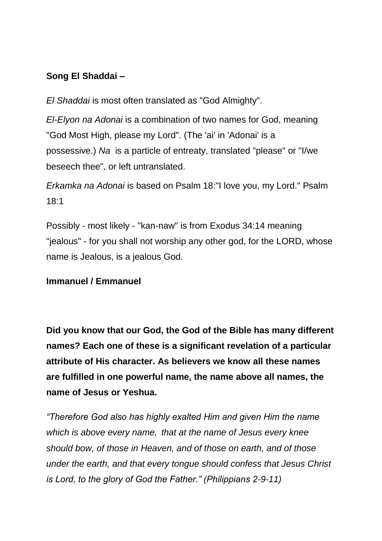## **Song El Shaddai –**

*El Shaddai* is most often translated as "God Almighty".

*El-Elyon na Adonai* is a combination of two names for God, meaning "God Most High, please my Lord". (The 'ai' in 'Adonai' is a possessive.) *Na* is a particle of entreaty, translated "please" or "I/we beseech thee", or left untranslated.

*Erkamka na Adonai* is based on Psalm 18:"I love you, my Lord." Psalm 18:1

Possibly - most likely - "kan-naw" is from Exodus 34:14 meaning "jealous" - for you shall not worship any other god, for the LORD, whose name is Jealous, is a jealous God.

## **Immanuel / Emmanuel**

**Did you know that our God, the God of the Bible has many different names? Each one of these is a significant revelation of a particular attribute of His character. As believers we know all these names are fulfilled in one powerful name, the name above all names, the name of Jesus or Yeshua.**

*"Therefore God also has highly exalted Him and given Him the name which is above every name, that at the name of Jesus every knee should bow, of those in Heaven, and of those on earth, and of those under the earth, and that every tongue should confess that Jesus Christ is Lord, to the glory of God the Father." (Philippians 2-9-11)*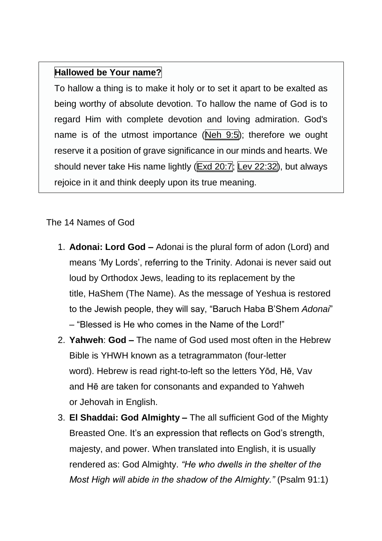## **Hallowed be Your name?**

To hallow a thing is to make it holy or to set it apart to be exalted as being worthy of absolute devotion. To hallow the name of God is to regard Him with complete devotion and loving admiration. God's name is of the utmost importance ( $Neh$  9:5); therefore we ought reserve it a position of grave significance in our minds and hearts. We should never take His name lightly (Exd [20:7;](https://www.blueletterbible.org/kjv/exodus/20/7/s_70007) Lev [22:32\)](https://www.blueletterbible.org/kjv/leviticus/22/32/s_112032), but always rejoice in it and think deeply upon its true meaning.

## The 14 Names of God

- 1. **Adonai: Lord God –** Adonai is the plural form of adon (Lord) and means 'My Lords', referring to the Trinity. Adonai is never said out loud by Orthodox Jews, leading to its replacement by the title, HaShem (The Name). As the message of Yeshua is restored to the Jewish people, they will say, "Baruch Haba B'Shem *Adonai*" – "Blessed is He who comes in the Name of the Lord!"
- 2. **Yahweh**: **God** *–* The name of God used most often in the Hebrew Bible is YHWH known as a tetragrammaton (four-letter word). Hebrew is read right-to-left so the letters Yōd, Hē, Vav and Hē are taken for consonants and expanded to Yahweh or Jehovah in English.
- 3. **El Shaddai: God Almighty** *–* The all sufficient God of the Mighty Breasted One. It's an expression that reflects on God's strength, majesty, and power. When translated into English, it is usually rendered as: God Almighty. *"He who dwells in the shelter of the Most High will abide in the shadow of the Almighty."* (Psalm 91:1)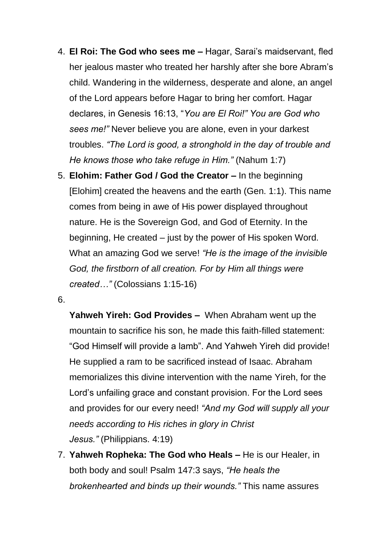- 4. **El Roi: The God who sees me** *–* Hagar, Sarai's maidservant, fled her jealous master who treated her harshly after she bore Abram's child. Wandering in the wilderness, desperate and alone, an angel of the Lord appears before Hagar to bring her comfort. Hagar declares, in Genesis 16:13, "*You are El Roi!" You are God who sees me!"* Never believe you are alone, even in your darkest troubles. *"The Lord is good, a stronghold in the day of trouble and He knows those who take refuge in Him."* (Nahum 1:7)
- 5. **Elohim: Father God / God the Creator** *–* In the beginning [Elohim] created the heavens and the earth (Gen. 1:1). This name comes from being in awe of His power displayed throughout nature. He is the Sovereign God, and God of Eternity. In the beginning, He created – just by the power of His spoken Word. What an amazing God we serve! *"He is the image of the invisible God, the firstborn of all creation. For by Him all things were created…"* (Colossians 1:15-16)
- 6.

**Yahweh Yireh: God Provides** *–* When Abraham went up the mountain to sacrifice his son, he made this faith-filled statement: "God Himself will provide a lamb". And Yahweh Yireh did provide! He supplied a ram to be sacrificed instead of Isaac. Abraham memorializes this divine intervention with the name Yireh, for the Lord's unfailing grace and constant provision. For the Lord sees and provides for our every need! *"And my God will supply all your needs according to His riches in glory in Christ Jesus."* (Philippians. 4:19)

7. **Yahweh Ropheka: The God who Heals** *–* He is our Healer, in both body and soul! Psalm 147:3 says, *"He heals the brokenhearted and binds up their wounds."* This name assures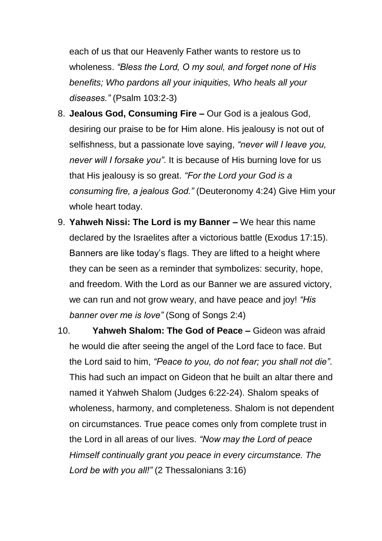each of us that our Heavenly Father wants to restore us to wholeness. *"Bless the Lord, O my soul, and forget none of His benefits; Who pardons all your iniquities, Who heals all your diseases."* (Psalm 103:2-3)

- 8. **Jealous God, Consuming Fire** *–* Our God is a jealous God, desiring our praise to be for Him alone. His jealousy is not out of selfishness, but a passionate love saying, *"never will I leave you, never will I forsake you"*. It is because of His burning love for us that His jealousy is so great. *"For the Lord your God is a consuming fire, a jealous God."* (Deuteronomy 4:24) Give Him your whole heart today.
- 9. **Yahweh Nissi: The Lord is my Banner** *–* We hear this name declared by the Israelites after a victorious battle (Exodus 17:15). Banners are like today's flags. They are lifted to a height where they can be seen as a reminder that symbolizes: security, hope, and freedom. With the Lord as our Banner we are assured victory, we can run and not grow weary, and have peace and joy! *"His banner over me is love"* (Song of Songs 2:4)
- 10. **Yahweh Shalom: The God of Peace** *–* Gideon was afraid he would die after seeing the angel of the Lord face to face. But the Lord said to him, *"Peace to you, do not fear; you shall not die"*. This had such an impact on Gideon that he built an altar there and named it Yahweh Shalom (Judges 6:22-24). Shalom speaks of wholeness, harmony, and completeness. Shalom is not dependent on circumstances. True peace comes only from complete trust in the Lord in all areas of our lives. *"Now may the Lord of peace Himself continually grant you peace in every circumstance. The Lord be with you all!"* (2 Thessalonians 3:16)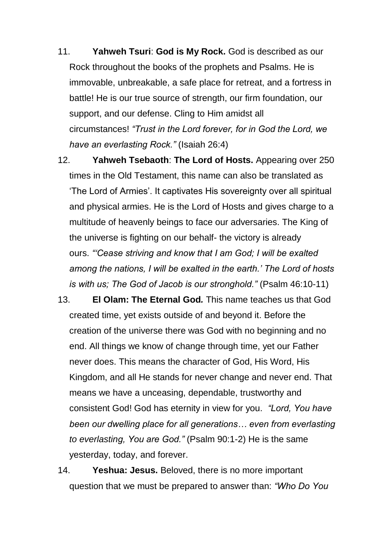- 11. **Yahweh Tsuri**: **God is My Rock.** God is described as our Rock throughout the books of the prophets and Psalms. He is immovable, unbreakable, a safe place for retreat, and a fortress in battle! He is our true source of strength, our firm foundation, our support, and our defense. Cling to Him amidst all circumstances! *"Trust in the Lord forever, for in God the Lord, we have an everlasting Rock."* (Isaiah 26:4)
- 12. **Yahweh Tsebaoth**: **The Lord of Hosts.** Appearing over 250 times in the Old Testament, this name can also be translated as 'The Lord of Armies'. It captivates His sovereignty over all spiritual and physical armies. He is the Lord of Hosts and gives charge to a multitude of heavenly beings to face our adversaries. The King of the universe is fighting on our behalf- the victory is already ours. *"'Cease striving and know that I am God; I will be exalted among the nations, I will be exalted in the earth.' The Lord of hosts is with us; The God of Jacob is our stronghold."* (Psalm 46:10-11)
- 13. **El Olam: The Eternal God***.* This name teaches us that God created time, yet exists outside of and beyond it. Before the creation of the universe there was God with no beginning and no end. All things we know of change through time, yet our Father never does. This means the character of God, His Word, His Kingdom, and all He stands for never change and never end. That means we have a unceasing, dependable, trustworthy and consistent God! God has eternity in view for you. *"Lord, You have been our dwelling place for all generations… even from everlasting to everlasting, You are God."* (Psalm 90:1-2) He is the same yesterday, today, and forever.
- 14. **Yeshua: Jesus.** Beloved, there is no more important question that we must be prepared to answer than: *"Who Do You*